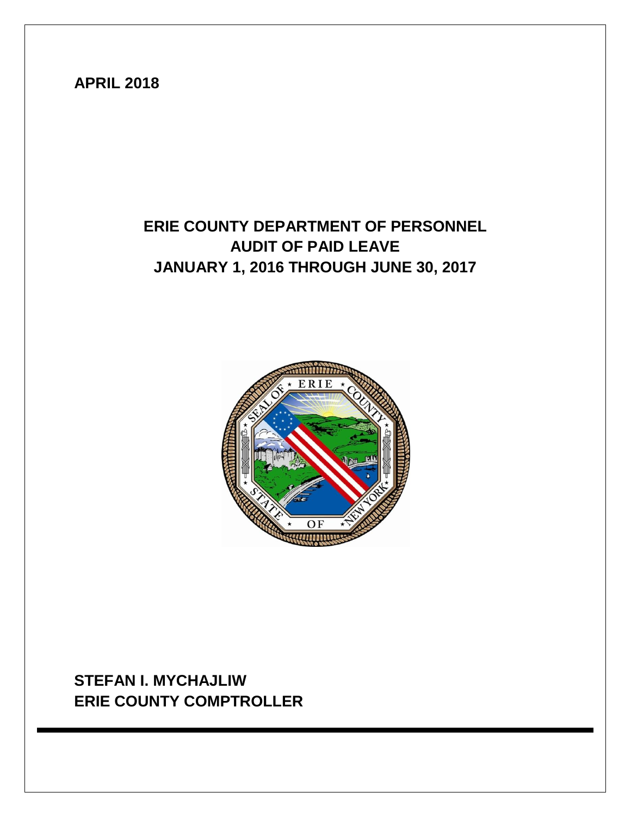## **APRIL 2018**

# **ERIE COUNTY DEPARTMENT OF PERSONNEL AUDIT OF PAID LEAVE JANUARY 1, 2016 THROUGH JUNE 30, 2017**



**STEFAN I. MYCHAJLIW ERIE COUNTY COMPTROLLER**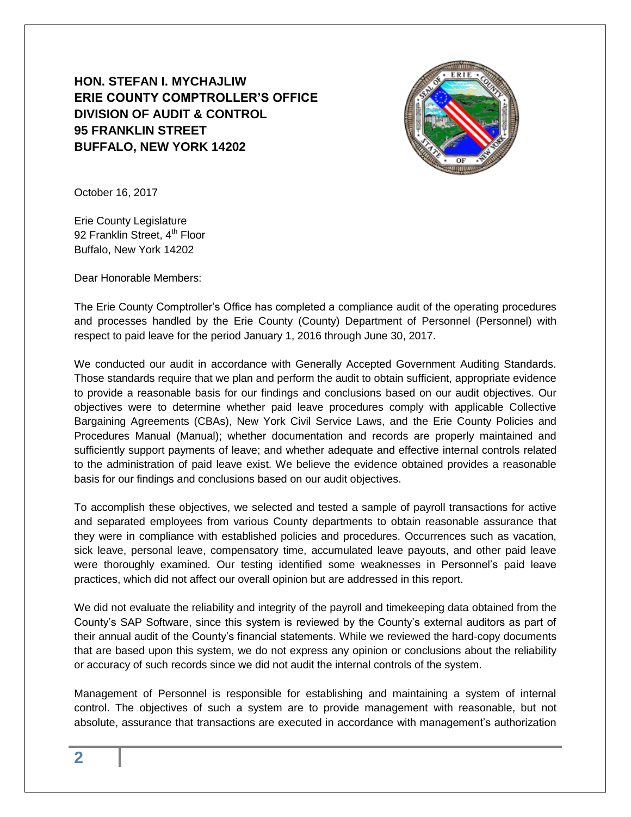### **HON. STEFAN I. MYCHAJLIW ERIE COUNTY COMPTROLLER'S OFFICE DIVISION OF AUDIT & CONTROL 95 FRANKLIN STREET BUFFALO, NEW YORK 14202**



October 16, 2017

Erie County Legislature 92 Franklin Street, 4<sup>th</sup> Floor Buffalo, New York 14202

Dear Honorable Members:

The Erie County Comptroller's Office has completed a compliance audit of the operating procedures and processes handled by the Erie County (County) Department of Personnel (Personnel) with respect to paid leave for the period January 1, 2016 through June 30, 2017.

We conducted our audit in accordance with Generally Accepted Government Auditing Standards. Those standards require that we plan and perform the audit to obtain sufficient, appropriate evidence to provide a reasonable basis for our findings and conclusions based on our audit objectives. Our objectives were to determine whether paid leave procedures comply with applicable Collective Bargaining Agreements (CBAs), New York Civil Service Laws, and the Erie County Policies and Procedures Manual (Manual); whether documentation and records are properly maintained and sufficiently support payments of leave; and whether adequate and effective internal controls related to the administration of paid leave exist. We believe the evidence obtained provides a reasonable basis for our findings and conclusions based on our audit objectives.

To accomplish these objectives, we selected and tested a sample of payroll transactions for active and separated employees from various County departments to obtain reasonable assurance that they were in compliance with established policies and procedures. Occurrences such as vacation, sick leave, personal leave, compensatory time, accumulated leave payouts, and other paid leave were thoroughly examined. Our testing identified some weaknesses in Personnel's paid leave practices, which did not affect our overall opinion but are addressed in this report.

We did not evaluate the reliability and integrity of the payroll and timekeeping data obtained from the County's SAP Software, since this system is reviewed by the County's external auditors as part of their annual audit of the County's financial statements. While we reviewed the hard-copy documents that are based upon this system, we do not express any opinion or conclusions about the reliability or accuracy of such records since we did not audit the internal controls of the system.

Management of Personnel is responsible for establishing and maintaining a system of internal control. The objectives of such a system are to provide management with reasonable, but not absolute, assurance that transactions are executed in accordance with management's authorization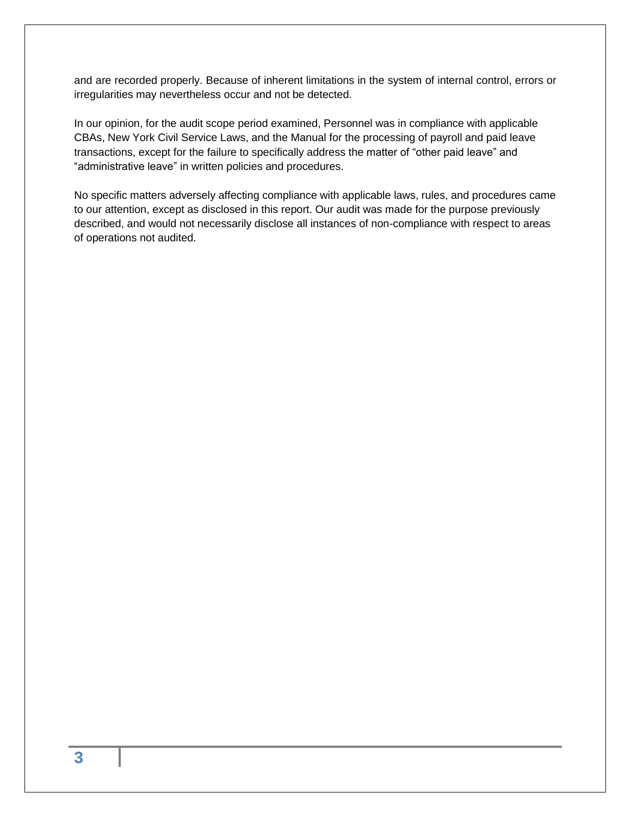and are recorded properly. Because of inherent limitations in the system of internal control, errors or irregularities may nevertheless occur and not be detected.

In our opinion, for the audit scope period examined, Personnel was in compliance with applicable CBAs, New York Civil Service Laws, and the Manual for the processing of payroll and paid leave transactions, except for the failure to specifically address the matter of "other paid leave" and "administrative leave" in written policies and procedures.

No specific matters adversely affecting compliance with applicable laws, rules, and procedures came to our attention, except as disclosed in this report. Our audit was made for the purpose previously described, and would not necessarily disclose all instances of non-compliance with respect to areas of operations not audited.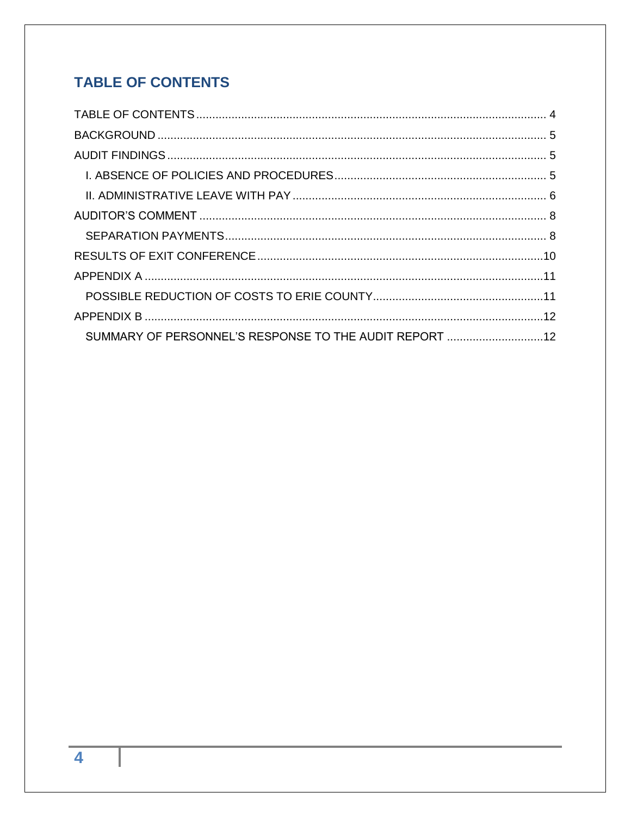## <span id="page-3-0"></span>**TABLE OF CONTENTS**

| SUMMARY OF PERSONNEL'S RESPONSE TO THE AUDIT REPORT 12 |  |
|--------------------------------------------------------|--|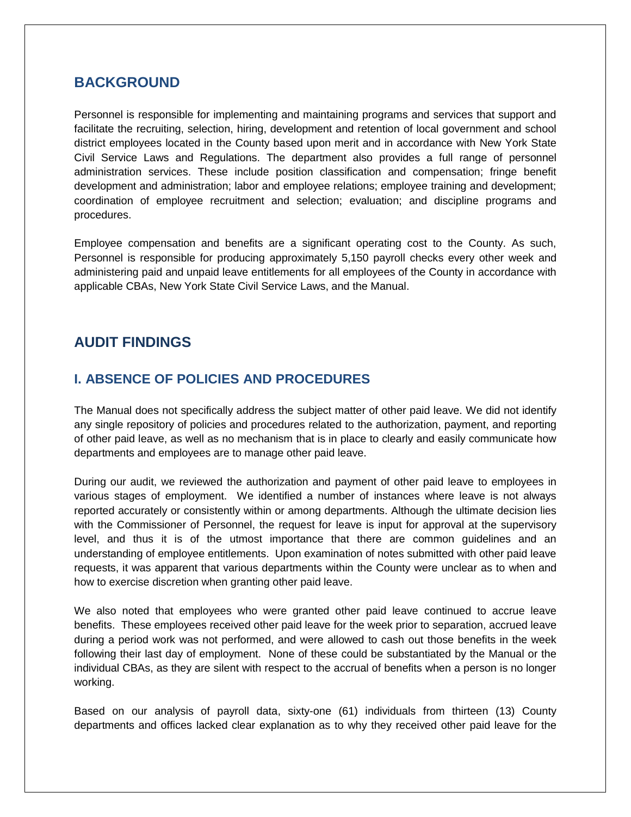#### <span id="page-4-0"></span>**BACKGROUND**

Personnel is responsible for implementing and maintaining programs and services that support and facilitate the recruiting, selection, hiring, development and retention of local government and school district employees located in the County based upon merit and in accordance with New York State Civil Service Laws and Regulations. The department also provides a full range of personnel administration services. These include position classification and compensation; fringe benefit development and administration; labor and employee relations; employee training and development; coordination of employee recruitment and selection; evaluation; and discipline programs and procedures.

Employee compensation and benefits are a significant operating cost to the County. As such, Personnel is responsible for producing approximately 5,150 payroll checks every other week and administering paid and unpaid leave entitlements for all employees of the County in accordance with applicable CBAs, New York State Civil Service Laws, and the Manual.

### <span id="page-4-2"></span><span id="page-4-1"></span>**AUDIT FINDINGS**

#### **I. ABSENCE OF POLICIES AND PROCEDURES**

The Manual does not specifically address the subject matter of other paid leave. We did not identify any single repository of policies and procedures related to the authorization, payment, and reporting of other paid leave, as well as no mechanism that is in place to clearly and easily communicate how departments and employees are to manage other paid leave.

During our audit, we reviewed the authorization and payment of other paid leave to employees in various stages of employment. We identified a number of instances where leave is not always reported accurately or consistently within or among departments. Although the ultimate decision lies with the Commissioner of Personnel, the request for leave is input for approval at the supervisory level, and thus it is of the utmost importance that there are common guidelines and an understanding of employee entitlements. Upon examination of notes submitted with other paid leave requests, it was apparent that various departments within the County were unclear as to when and how to exercise discretion when granting other paid leave.

We also noted that employees who were granted other paid leave continued to accrue leave benefits. These employees received other paid leave for the week prior to separation, accrued leave during a period work was not performed, and were allowed to cash out those benefits in the week following their last day of employment. None of these could be substantiated by the Manual or the individual CBAs, as they are silent with respect to the accrual of benefits when a person is no longer working.

Based on our analysis of payroll data, sixty-one (61) individuals from thirteen (13) County departments and offices lacked clear explanation as to why they received other paid leave for the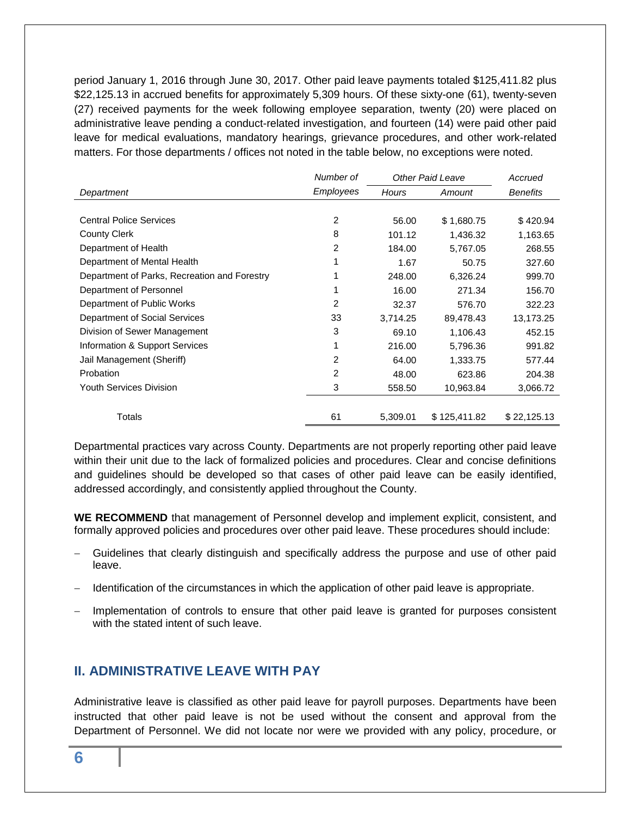period January 1, 2016 through June 30, 2017. Other paid leave payments totaled \$125,411.82 plus \$22,125.13 in accrued benefits for approximately 5,309 hours. Of these sixty-one (61), twenty-seven (27) received payments for the week following employee separation, twenty (20) were placed on administrative leave pending a conduct-related investigation, and fourteen (14) were paid other paid leave for medical evaluations, mandatory hearings, grievance procedures, and other work-related matters. For those departments / offices not noted in the table below, no exceptions were noted.

|                                              | Number of      | Other Paid Leave |              | Accrued         |
|----------------------------------------------|----------------|------------------|--------------|-----------------|
| Department                                   | Employees      | Hours            | Amount       | <b>Benefits</b> |
|                                              |                |                  |              |                 |
| <b>Central Police Services</b>               | 2              | 56.00            | \$1,680.75   | \$420.94        |
| <b>County Clerk</b>                          | 8              | 101.12           | 1,436.32     | 1,163.65        |
| Department of Health                         | 2              | 184.00           | 5,767.05     | 268.55          |
| Department of Mental Health                  |                | 1.67             | 50.75        | 327.60          |
| Department of Parks, Recreation and Forestry |                | 248.00           | 6,326.24     | 999.70          |
| Department of Personnel                      |                | 16.00            | 271.34       | 156.70          |
| Department of Public Works                   | 2              | 32.37            | 576.70       | 322.23          |
| Department of Social Services                | 33             | 3,714.25         | 89,478.43    | 13,173.25       |
| Division of Sewer Management                 | 3              | 69.10            | 1,106.43     | 452.15          |
| Information & Support Services               | 1              | 216.00           | 5,796.36     | 991.82          |
| Jail Management (Sheriff)                    | 2              | 64.00            | 1,333.75     | 577.44          |
| Probation                                    | $\overline{2}$ | 48.00            | 623.86       | 204.38          |
| <b>Youth Services Division</b>               | 3              | 558.50           | 10,963.84    | 3,066.72        |
|                                              |                |                  |              |                 |
| Totals                                       | 61             | 5,309.01         | \$125,411.82 | \$22,125.13     |

Departmental practices vary across County. Departments are not properly reporting other paid leave within their unit due to the lack of formalized policies and procedures. Clear and concise definitions and guidelines should be developed so that cases of other paid leave can be easily identified, addressed accordingly, and consistently applied throughout the County.

**WE RECOMMEND** that management of Personnel develop and implement explicit, consistent, and formally approved policies and procedures over other paid leave. These procedures should include:

- Guidelines that clearly distinguish and specifically address the purpose and use of other paid leave.
- Identification of the circumstances in which the application of other paid leave is appropriate.
- Implementation of controls to ensure that other paid leave is granted for purposes consistent with the stated intent of such leave.

#### <span id="page-5-0"></span>**II. ADMINISTRATIVE LEAVE WITH PAY**

Administrative leave is classified as other paid leave for payroll purposes. Departments have been instructed that other paid leave is not be used without the consent and approval from the Department of Personnel. We did not locate nor were we provided with any policy, procedure, or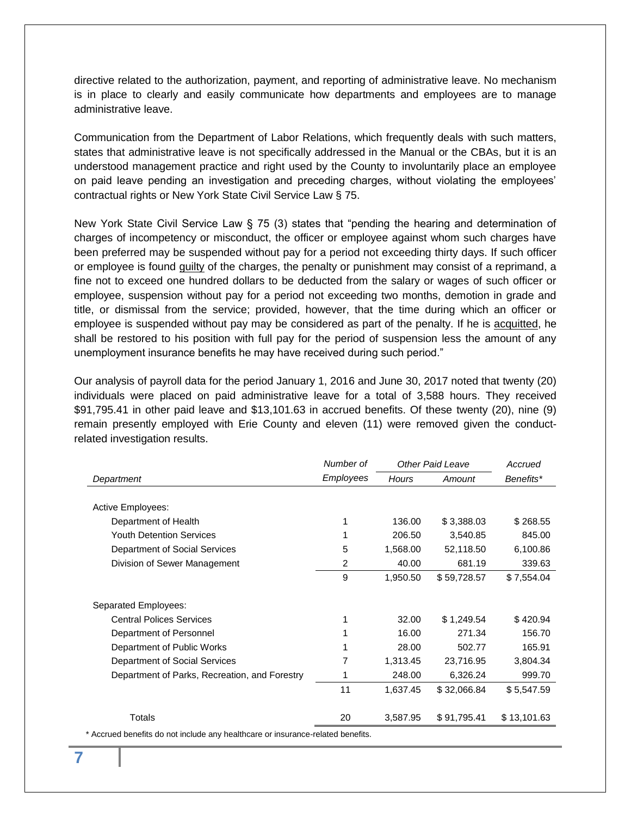directive related to the authorization, payment, and reporting of administrative leave. No mechanism is in place to clearly and easily communicate how departments and employees are to manage administrative leave.

Communication from the Department of Labor Relations, which frequently deals with such matters, states that administrative leave is not specifically addressed in the Manual or the CBAs, but it is an understood management practice and right used by the County to involuntarily place an employee on paid leave pending an investigation and preceding charges, without violating the employees' contractual rights or New York State Civil Service Law § 75.

New York State Civil Service Law § 75 (3) states that "pending the hearing and determination of charges of incompetency or misconduct, the officer or employee against whom such charges have been preferred may be suspended without pay for a period not exceeding thirty days. If such officer or employee is found guilty of the charges, the penalty or punishment may consist of a reprimand, a fine not to exceed one hundred dollars to be deducted from the salary or wages of such officer or employee, suspension without pay for a period not exceeding two months, demotion in grade and title, or dismissal from the service; provided, however, that the time during which an officer or employee is suspended without pay may be considered as part of the penalty. If he is acquitted, he shall be restored to his position with full pay for the period of suspension less the amount of any unemployment insurance benefits he may have received during such period."

Our analysis of payroll data for the period January 1, 2016 and June 30, 2017 noted that twenty (20) individuals were placed on paid administrative leave for a total of 3,588 hours. They received \$91,795.41 in other paid leave and \$13,101.63 in accrued benefits. Of these twenty (20), nine (9) remain presently employed with Erie County and eleven (11) were removed given the conductrelated investigation results.

|                                               | Number of | <b>Other Paid Leave</b> |             | Accrued     |
|-----------------------------------------------|-----------|-------------------------|-------------|-------------|
| Department                                    | Employees | Hours                   | Amount      | Benefits*   |
|                                               |           |                         |             |             |
| Active Employees:                             |           |                         |             |             |
| Department of Health                          | 1         | 136.00                  | \$3,388.03  | \$268.55    |
| <b>Youth Detention Services</b>               | 1         | 206.50                  | 3,540.85    | 845.00      |
| Department of Social Services                 | 5         | 1,568.00                | 52,118.50   | 6,100.86    |
| Division of Sewer Management                  | 2         | 40.00                   | 681.19      | 339.63      |
|                                               | 9         | 1,950.50                | \$59,728.57 | \$7,554.04  |
|                                               |           |                         |             |             |
| Separated Employees:                          |           |                         |             |             |
| <b>Central Polices Services</b>               | 1         | 32.00                   | \$1,249.54  | \$420.94    |
| Department of Personnel                       |           | 16.00                   | 271.34      | 156.70      |
| Department of Public Works                    |           | 28.00                   | 502.77      | 165.91      |
| Department of Social Services                 | 7         | 1,313.45                | 23,716.95   | 3,804.34    |
| Department of Parks, Recreation, and Forestry |           | 248.00                  | 6,326.24    | 999.70      |
|                                               | 11        | 1,637.45                | \$32,066.84 | \$5,547.59  |
|                                               |           |                         |             |             |
| Totals                                        | 20        | 3,587.95                | \$91,795.41 | \$13,101.63 |

\* Accrued benefits do not include any healthcare or insurance-related benefits.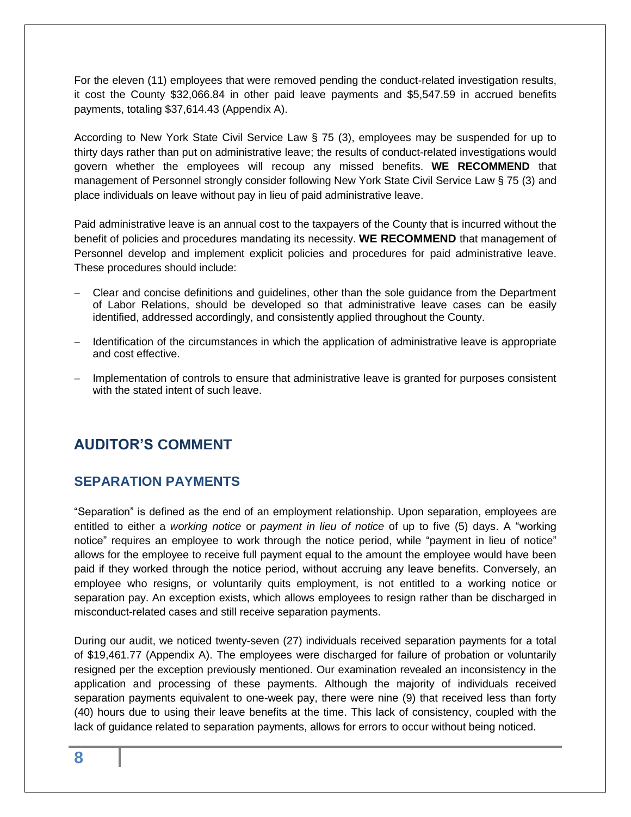For the eleven (11) employees that were removed pending the conduct-related investigation results, it cost the County \$32,066.84 in other paid leave payments and \$5,547.59 in accrued benefits payments, totaling \$37,614.43 (Appendix A).

According to New York State Civil Service Law § 75 (3), employees may be suspended for up to thirty days rather than put on administrative leave; the results of conduct-related investigations would govern whether the employees will recoup any missed benefits. **WE RECOMMEND** that management of Personnel strongly consider following New York State Civil Service Law § 75 (3) and place individuals on leave without pay in lieu of paid administrative leave.

Paid administrative leave is an annual cost to the taxpayers of the County that is incurred without the benefit of policies and procedures mandating its necessity. **WE RECOMMEND** that management of Personnel develop and implement explicit policies and procedures for paid administrative leave. These procedures should include:

- Clear and concise definitions and guidelines, other than the sole guidance from the Department of Labor Relations, should be developed so that administrative leave cases can be easily identified, addressed accordingly, and consistently applied throughout the County.
- Identification of the circumstances in which the application of administrative leave is appropriate and cost effective.
- Implementation of controls to ensure that administrative leave is granted for purposes consistent with the stated intent of such leave.

### <span id="page-7-1"></span><span id="page-7-0"></span>**AUDITOR'S COMMENT**

#### **SEPARATION PAYMENTS**

"Separation" is defined as the end of an employment relationship. Upon separation, employees are entitled to either a *working notice* or *payment in lieu of notice* of up to five (5) days. A "working notice" requires an employee to work through the notice period, while "payment in lieu of notice" allows for the employee to receive full payment equal to the amount the employee would have been paid if they worked through the notice period, without accruing any leave benefits. Conversely, an employee who resigns, or voluntarily quits employment, is not entitled to a working notice or separation pay. An exception exists, which allows employees to resign rather than be discharged in misconduct-related cases and still receive separation payments.

During our audit, we noticed twenty-seven (27) individuals received separation payments for a total of \$19,461.77 (Appendix A). The employees were discharged for failure of probation or voluntarily resigned per the exception previously mentioned. Our examination revealed an inconsistency in the application and processing of these payments. Although the majority of individuals received separation payments equivalent to one-week pay, there were nine (9) that received less than forty (40) hours due to using their leave benefits at the time. This lack of consistency, coupled with the lack of guidance related to separation payments, allows for errors to occur without being noticed.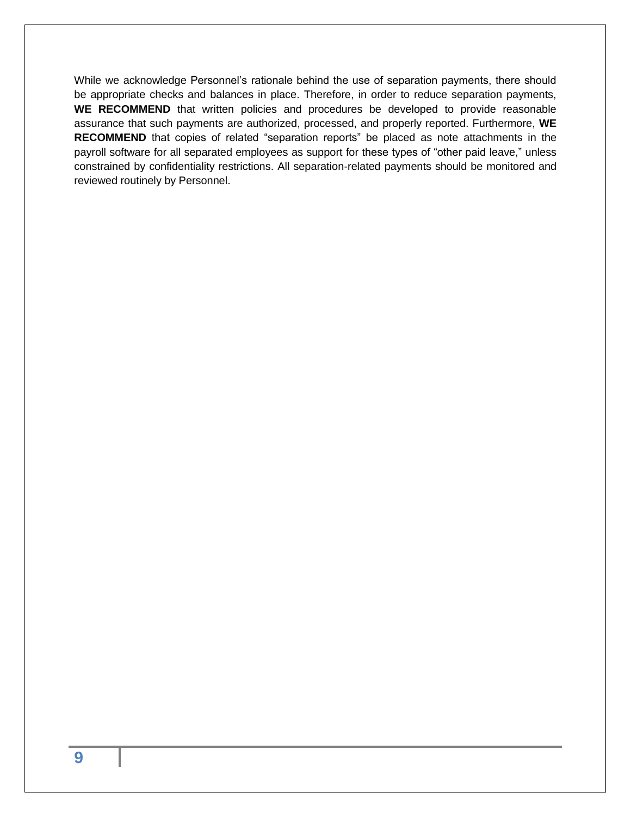While we acknowledge Personnel's rationale behind the use of separation payments, there should be appropriate checks and balances in place. Therefore, in order to reduce separation payments, **WE RECOMMEND** that written policies and procedures be developed to provide reasonable assurance that such payments are authorized, processed, and properly reported. Furthermore, **WE RECOMMEND** that copies of related "separation reports" be placed as note attachments in the payroll software for all separated employees as support for these types of "other paid leave," unless constrained by confidentiality restrictions. All separation-related payments should be monitored and reviewed routinely by Personnel.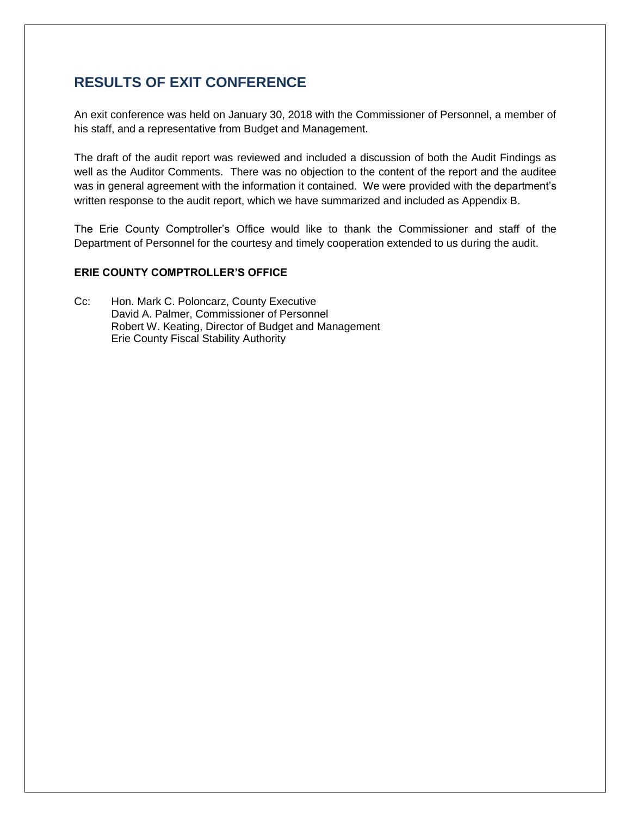### <span id="page-9-0"></span>**RESULTS OF EXIT CONFERENCE**

An exit conference was held on January 30, 2018 with the Commissioner of Personnel, a member of his staff, and a representative from Budget and Management.

The draft of the audit report was reviewed and included a discussion of both the Audit Findings as well as the Auditor Comments. There was no objection to the content of the report and the auditee was in general agreement with the information it contained. We were provided with the department's written response to the audit report, which we have summarized and included as Appendix B.

The Erie County Comptroller's Office would like to thank the Commissioner and staff of the Department of Personnel for the courtesy and timely cooperation extended to us during the audit.

#### **ERIE COUNTY COMPTROLLER'S OFFICE**

Cc: Hon. Mark C. Poloncarz, County Executive David A. Palmer, Commissioner of Personnel Robert W. Keating, Director of Budget and Management Erie County Fiscal Stability Authority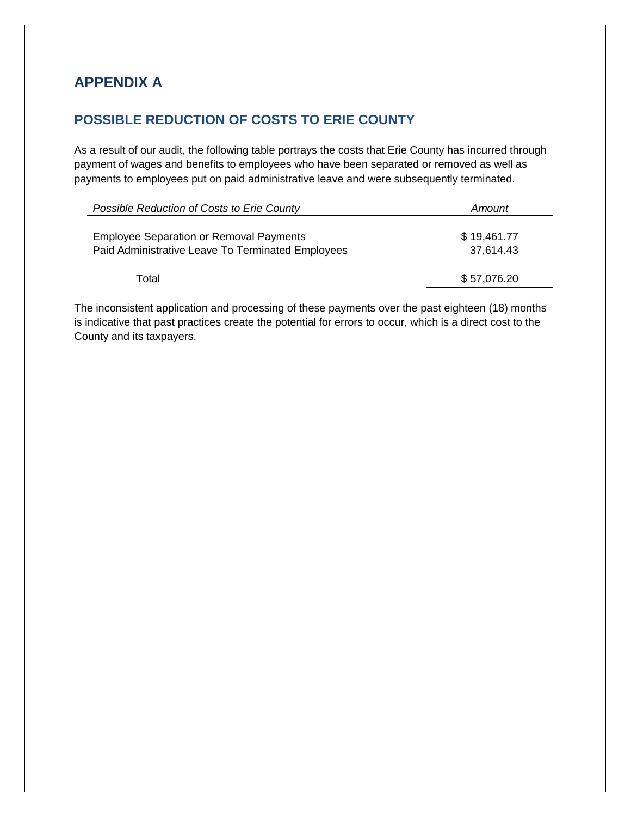## <span id="page-10-0"></span>**APPENDIX A**

### <span id="page-10-1"></span>**POSSIBLE REDUCTION OF COSTS TO ERIE COUNTY**

As a result of our audit, the following table portrays the costs that Erie County has incurred through payment of wages and benefits to employees who have been separated or removed as well as payments to employees put on paid administrative leave and were subsequently terminated.

| Possible Reduction of Costs to Erie County                                                          | Amount                   |
|-----------------------------------------------------------------------------------------------------|--------------------------|
| <b>Employee Separation or Removal Payments</b><br>Paid Administrative Leave To Terminated Employees | \$19,461.77<br>37,614.43 |
| Total                                                                                               | \$57,076.20              |
|                                                                                                     |                          |

The inconsistent application and processing of these payments over the past eighteen (18) months is indicative that past practices create the potential for errors to occur, which is a direct cost to the County and its taxpayers.